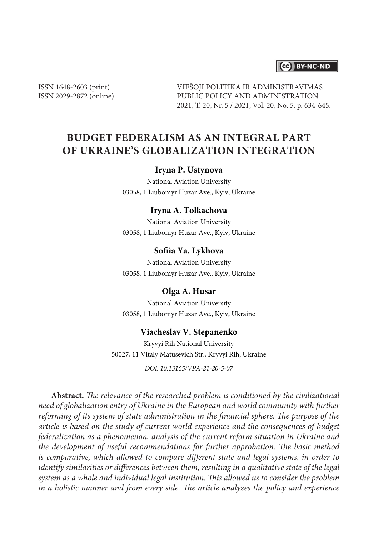## CC BY-NC-ND

ISSN 1648-2603 (print) ISSN 2029-2872 (online) VIEŠOJI POLITIKA IR ADMINISTRAVIMAS PUBLIC POLICY AND ADMINISTRATION 2021, T. 20, Nr. 5 / 2021, Vol. 20, No. 5, p. 634-645.

# **BUDGET FEDERALISM AS AN INTEGRAL PART OF UKRAINE'S GLOBALIZATION INTEGRATION**

#### **Iryna P. Ustynova**

National Aviation University 03058, 1 Liubomyr Huzar Ave., Kyiv, Ukraine

#### **Iryna A. Tolkachova**

National Aviation University 03058, 1 Liubomyr Huzar Ave., Kyiv, Ukraine

#### **Sofiia Ya. Lykhova**

National Aviation University 03058, 1 Liubomyr Huzar Ave., Kyiv, Ukraine

#### **Olga A. Husar**

National Aviation University 03058, 1 Liubomyr Huzar Ave., Kyiv, Ukraine

#### **Viacheslav V. Stepanenko**

Kryvyi Rih National University 50027, 11 Vitaly Matusevich Str., Kryvyi Rih, Ukraine *DOI: 10.13165/VPA-21-20-5-07*

**Abstract.** *The relevance of the researched problem is conditioned by the civilizational need of globalization entry of Ukraine in the European and world community with further reforming of its system of state administration in the financial sphere. The purpose of the article is based on the study of current world experience and the consequences of budget federalization as a phenomenon, analysis of the current reform situation in Ukraine and the development of useful recommendations for further approbation. The basic method is comparative, which allowed to compare different state and legal systems, in order to identify similarities or differences between them, resulting in a qualitative state of the legal system as a whole and individual legal institution. This allowed us to consider the problem in a holistic manner and from every side. The article analyzes the policy and experience*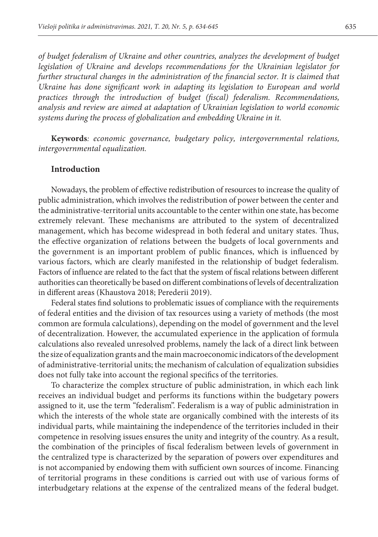*of budget federalism of Ukraine and other countries, analyzes the development of budget legislation of Ukraine and develops recommendations for the Ukrainian legislator for further structural changes in the administration of the financial sector. It is claimed that*  Ukraine has done significant work in adapting its legislation to European and world *practices through the introduction of budget (fiscal) federalism. Recommendations, analysis and review are aimed at adaptation of Ukrainian legislation to world economic systems during the process of globalization and embedding Ukraine in it.*

**Keywords***: economic governance, budgetary policy, intergovernmental relations, intergovernmental equalization.*

## **Introduction**

Nowadays, the problem of effective redistribution of resources to increase the quality of public administration, which involves the redistribution of power between the center and the administrative-territorial units accountable to the center within one state, has become extremely relevant. These mechanisms are attributed to the system of decentralized management, which has become widespread in both federal and unitary states. Thus, the effective organization of relations between the budgets of local governments and the government is an important problem of public finances, which is influenced by various factors, which are clearly manifested in the relationship of budget federalism. Factors of influence are related to the fact that the system of fiscal relations between different authorities can theoretically be based on different combinations of levels of decentralization in different areas (Khaustova 2018; Perederii 2019).

Federal states find solutions to problematic issues of compliance with the requirements of federal entities and the division of tax resources using a variety of methods (the most common are formula calculations), depending on the model of government and the level of decentralization. However, the accumulated experience in the application of formula calculations also revealed unresolved problems, namely the lack of a direct link between the size of equalization grants and the main macroeconomic indicators of the development of administrative-territorial units; the mechanism of calculation of equalization subsidies does not fully take into account the regional specifics of the territories.

To characterize the complex structure of public administration, in which each link receives an individual budget and performs its functions within the budgetary powers assigned to it, use the term "federalism". Federalism is a way of public administration in which the interests of the whole state are organically combined with the interests of its individual parts, while maintaining the independence of the territories included in their competence in resolving issues ensures the unity and integrity of the country. As a result, the combination of the principles of fiscal federalism between levels of government in the centralized type is characterized by the separation of powers over expenditures and is not accompanied by endowing them with sufficient own sources of income. Financing of territorial programs in these conditions is carried out with use of various forms of interbudgetary relations at the expense of the centralized means of the federal budget.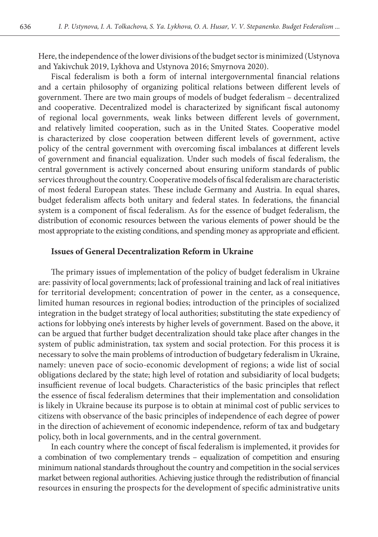Here, the independence of the lower divisions of the budget sector is minimized (Ustynova and Yakivchuk 2019, Lykhova and Ustynova 2016; Smyrnova 2020).

Fiscal federalism is both a form of internal intergovernmental financial relations and a certain philosophy of organizing political relations between different levels of government. There are two main groups of models of budget federalism – decentralized and cooperative. Decentralized model is characterized by significant fiscal autonomy of regional local governments, weak links between different levels of government, and relatively limited cooperation, such as in the United States. Cooperative model is characterized by close cooperation between different levels of government, active policy of the central government with overcoming fiscal imbalances at different levels of government and financial equalization. Under such models of fiscal federalism, the central government is actively concerned about ensuring uniform standards of public services throughout the country. Cooperative models of fiscal federalism are characteristic of most federal European states. These include Germany and Austria. In equal shares, budget federalism affects both unitary and federal states. In federations, the financial system is a component of fiscal federalism. As for the essence of budget federalism, the distribution of economic resources between the various elements of power should be the most appropriate to the existing conditions, and spending money as appropriate and efficient.

#### **Issues of General Decentralization Reform in Ukraine**

The primary issues of implementation of the policy of budget federalism in Ukraine are: passivity of local governments; lack of professional training and lack of real initiatives for territorial development; concentration of power in the center, as a consequence, limited human resources in regional bodies; introduction of the principles of socialized integration in the budget strategy of local authorities; substituting the state expediency of actions for lobbying one's interests by higher levels of government. Based on the above, it can be argued that further budget decentralization should take place after changes in the system of public administration, tax system and social protection. For this process it is necessary to solve the main problems of introduction of budgetary federalism in Ukraine, namely: uneven pace of socio-economic development of regions; a wide list of social obligations declared by the state; high level of rotation and subsidiarity of local budgets; insufficient revenue of local budgets. Characteristics of the basic principles that reflect the essence of fiscal federalism determines that their implementation and consolidation is likely in Ukraine because its purpose is to obtain at minimal cost of public services to citizens with observance of the basic principles of independence of each degree of power in the direction of achievement of economic independence, reform of tax and budgetary policy, both in local governments, and in the central government.

In each country where the concept of fiscal federalism is implemented, it provides for a combination of two complementary trends – equalization of competition and ensuring minimum national standards throughout the country and competition in the social services market between regional authorities. Achieving justice through the redistribution of financial resources in ensuring the prospects for the development of specific administrative units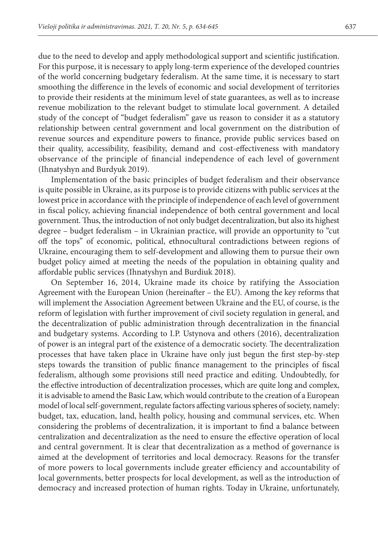due to the need to develop and apply methodological support and scientific justification. For this purpose, it is necessary to apply long-term experience of the developed countries of the world concerning budgetary federalism. At the same time, it is necessary to start smoothing the difference in the levels of economic and social development of territories to provide their residents at the minimum level of state guarantees, as well as to increase revenue mobilization to the relevant budget to stimulate local government. A detailed study of the concept of "budget federalism" gave us reason to consider it as a statutory relationship between central government and local government on the distribution of revenue sources and expenditure powers to finance, provide public services based on their quality, accessibility, feasibility, demand and cost-effectiveness with mandatory observance of the principle of financial independence of each level of government (Ihnatyshyn and Burdyuk 2019).

Implementation of the basic principles of budget federalism and their observance is quite possible in Ukraine, as its purpose is to provide citizens with public services at the lowest price in accordance with the principle of independence of each level of government in fiscal policy, achieving financial independence of both central government and local government. Thus, the introduction of not only budget decentralization, but also its highest degree – budget federalism – in Ukrainian practice, will provide an opportunity to "cut off the tops" of economic, political, ethnocultural contradictions between regions of Ukraine, encouraging them to self-development and allowing them to pursue their own budget policy aimed at meeting the needs of the population in obtaining quality and affordable public services (Ihnatyshyn and Burdiuk 2018).

On September 16, 2014, Ukraine made its choice by ratifying the Association Agreement with the European Union (hereinafter – the EU). Among the key reforms that will implement the Association Agreement between Ukraine and the EU, of course, is the reform of legislation with further improvement of civil society regulation in general, and the decentralization of public administration through decentralization in the financial and budgetary systems. According to I.P. Ustynova and others (2016), decentralization of power is an integral part of the existence of a democratic society. The decentralization processes that have taken place in Ukraine have only just begun the first step-by-step steps towards the transition of public finance management to the principles of fiscal federalism, although some provisions still need practice and editing. Undoubtedly, for the effective introduction of decentralization processes, which are quite long and complex, it is advisable to amend the Basic Law, which would contribute to the creation of a European model of local self-government, regulate factors affecting various spheres of society, namely: budget, tax, education, land, health policy, housing and communal services, etc. When considering the problems of decentralization, it is important to find a balance between centralization and decentralization as the need to ensure the effective operation of local and central government. It is clear that decentralization as a method of governance is aimed at the development of territories and local democracy. Reasons for the transfer of more powers to local governments include greater efficiency and accountability of local governments, better prospects for local development, as well as the introduction of democracy and increased protection of human rights. Today in Ukraine, unfortunately,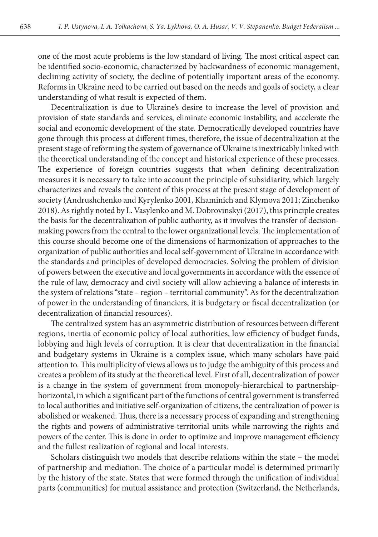one of the most acute problems is the low standard of living. The most critical aspect can be identified socio-economic, characterized by backwardness of economic management, declining activity of society, the decline of potentially important areas of the economy. Reforms in Ukraine need to be carried out based on the needs and goals of society, a clear understanding of what result is expected of them.

Decentralization is due to Ukraine's desire to increase the level of provision and provision of state standards and services, eliminate economic instability, and accelerate the social and economic development of the state. Democratically developed countries have gone through this process at different times, therefore, the issue of decentralization at the present stage of reforming the system of governance of Ukraine is inextricably linked with the theoretical understanding of the concept and historical experience of these processes. The experience of foreign countries suggests that when defining decentralization measures it is necessary to take into account the principle of subsidiarity, which largely characterizes and reveals the content of this process at the present stage of development of society (Andrushchenko and Kyrylenko 2001, Khaminich and Klymova 2011; Zinchenko 2018). As rightly noted by L. Vasylenko and M. Dobrovinskyi (2017), this principle creates the basis for the decentralization of public authority, as it involves the transfer of decisionmaking powers from the central to the lower organizational levels. The implementation of this course should become one of the dimensions of harmonization of approaches to the organization of public authorities and local self-government of Ukraine in accordance with the standards and principles of developed democracies. Solving the problem of division of powers between the executive and local governments in accordance with the essence of the rule of law, democracy and civil society will allow achieving a balance of interests in the system of relations "state – region – territorial community". As for the decentralization of power in the understanding of financiers, it is budgetary or fiscal decentralization (or decentralization of financial resources).

The centralized system has an asymmetric distribution of resources between different regions, inertia of economic policy of local authorities, low efficiency of budget funds, lobbying and high levels of corruption. It is clear that decentralization in the financial and budgetary systems in Ukraine is a complex issue, which many scholars have paid attention to. This multiplicity of views allows us to judge the ambiguity of this process and creates a problem of its study at the theoretical level. First of all, decentralization of power is a change in the system of government from monopoly-hierarchical to partnershiphorizontal, in which a significant part of the functions of central government is transferred to local authorities and initiative self-organization of citizens, the centralization of power is abolished or weakened. Thus, there is a necessary process of expanding and strengthening the rights and powers of administrative-territorial units while narrowing the rights and powers of the center. This is done in order to optimize and improve management efficiency and the fullest realization of regional and local interests.

Scholars distinguish two models that describe relations within the state – the model of partnership and mediation. The choice of a particular model is determined primarily by the history of the state. States that were formed through the unification of individual parts (communities) for mutual assistance and protection (Switzerland, the Netherlands,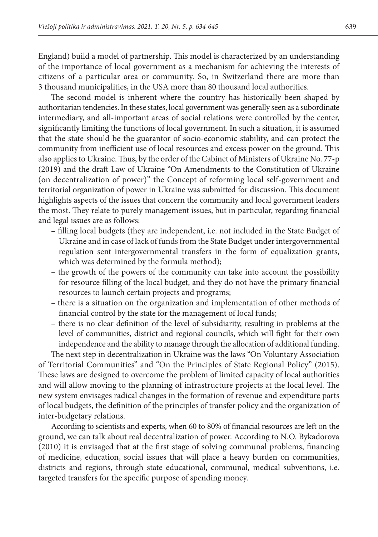England) build a model of partnership. This model is characterized by an understanding of the importance of local government as a mechanism for achieving the interests of citizens of a particular area or community. So, in Switzerland there are more than 3 thousand municipalities, in the USA more than 80 thousand local authorities.

The second model is inherent where the country has historically been shaped by authoritarian tendencies. In these states, local government was generally seen as a subordinate intermediary, and all-important areas of social relations were controlled by the center, significantly limiting the functions of local government. In such a situation, it is assumed that the state should be the guarantor of socio-economic stability, and can protect the community from inefficient use of local resources and excess power on the ground. This also applies to Ukraine. Thus, by the order of the Cabinet of Ministers of Ukraine No. 77-p (2019) and the draft Law of Ukraine "On Amendments to the Constitution of Ukraine (on decentralization of power)" the Concept of reforming local self-government and territorial organization of power in Ukraine was submitted for discussion. This document highlights aspects of the issues that concern the community and local government leaders the most. They relate to purely management issues, but in particular, regarding financial and legal issues are as follows:

- filling local budgets (they are independent, i.e. not included in the State Budget of Ukraine and in case of lack of funds from the State Budget under intergovernmental regulation sent intergovernmental transfers in the form of equalization grants, which was determined by the formula method);
- the growth of the powers of the community can take into account the possibility for resource filling of the local budget, and they do not have the primary financial resources to launch certain projects and programs;
- there is a situation on the organization and implementation of other methods of financial control by the state for the management of local funds;
- there is no clear definition of the level of subsidiarity, resulting in problems at the level of communities, district and regional councils, which will fight for their own independence and the ability to manage through the allocation of additional funding.

The next step in decentralization in Ukraine was the laws "On Voluntary Association of Territorial Communities" and "On the Principles of State Regional Policy" (2015). These laws are designed to overcome the problem of limited capacity of local authorities and will allow moving to the planning of infrastructure projects at the local level. The new system envisages radical changes in the formation of revenue and expenditure parts of local budgets, the definition of the principles of transfer policy and the organization of inter-budgetary relations.

According to scientists and experts, when 60 to 80% of financial resources are left on the ground, we can talk about real decentralization of power. According to N.O. Bykadorova (2010) it is envisaged that at the first stage of solving communal problems, financing of medicine, education, social issues that will place a heavy burden on communities, districts and regions, through state educational, communal, medical subventions, i.e. targeted transfers for the specific purpose of spending money.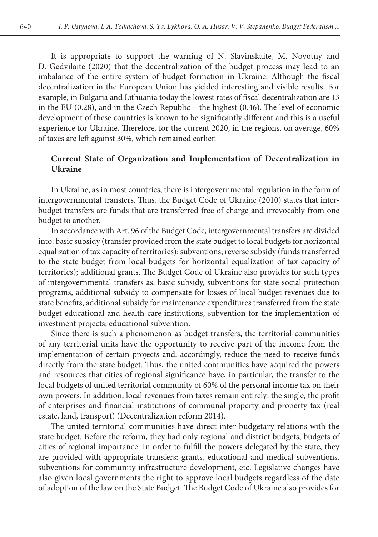It is appropriate to support the warning of N. Slavinskaite, M. Novotny and D. Gedvilaite (2020) that the decentralization of the budget process may lead to an imbalance of the entire system of budget formation in Ukraine. Although the fiscal decentralization in the European Union has yielded interesting and visible results. For example, in Bulgaria and Lithuania today the lowest rates of fiscal decentralization are 13 in the EU (0.28), and in the Czech Republic – the highest (0.46). The level of economic development of these countries is known to be significantly different and this is a useful experience for Ukraine. Therefore, for the current 2020, in the regions, on average, 60% of taxes are left against 30%, which remained earlier.

## **Current State of Organization and Implementation of Decentralization in Ukraine**

In Ukraine, as in most countries, there is intergovernmental regulation in the form of intergovernmental transfers. Thus, the Budget Code of Ukraine (2010) states that interbudget transfers are funds that are transferred free of charge and irrevocably from one budget to another.

In accordance with Art. 96 of the Budget Code, intergovernmental transfers are divided into: basic subsidy (transfer provided from the state budget to local budgets for horizontal equalization of tax capacity of territories); subventions; reverse subsidy (funds transferred to the state budget from local budgets for horizontal equalization of tax capacity of territories); additional grants. The Budget Code of Ukraine also provides for such types of intergovernmental transfers as: basic subsidy, subventions for state social protection programs, additional subsidy to compensate for losses of local budget revenues due to state benefits, additional subsidy for maintenance expenditures transferred from the state budget educational and health care institutions, subvention for the implementation of investment projects; educational subvention.

Since there is such a phenomenon as budget transfers, the territorial communities of any territorial units have the opportunity to receive part of the income from the implementation of certain projects and, accordingly, reduce the need to receive funds directly from the state budget. Thus, the united communities have acquired the powers and resources that cities of regional significance have, in particular, the transfer to the local budgets of united territorial community of 60% of the personal income tax on their own powers. In addition, local revenues from taxes remain entirely: the single, the profit of enterprises and financial institutions of communal property and property tax (real estate, land, transport) (Decentralization reform 2014).

The united territorial communities have direct inter-budgetary relations with the state budget. Before the reform, they had only regional and district budgets, budgets of cities of regional importance. In order to fulfill the powers delegated by the state, they are provided with appropriate transfers: grants, educational and medical subventions, subventions for community infrastructure development, etc. Legislative changes have also given local governments the right to approve local budgets regardless of the date of adoption of the law on the State Budget. The Budget Code of Ukraine also provides for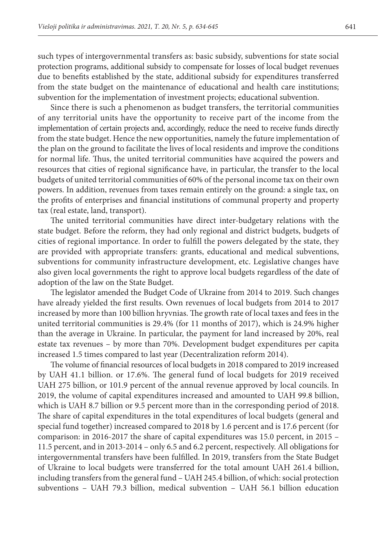such types of intergovernmental transfers as: basic subsidy, subventions for state social protection programs, additional subsidy to compensate for losses of local budget revenues due to benefits established by the state, additional subsidy for expenditures transferred from the state budget on the maintenance of educational and health care institutions; subvention for the implementation of investment projects; educational subvention.

Since there is such a phenomenon as budget transfers, the territorial communities of any territorial units have the opportunity to receive part of the income from the implementation of certain projects and, accordingly, reduce the need to receive funds directly from the state budget. Hence the new opportunities, namely the future implementation of the plan on the ground to facilitate the lives of local residents and improve the conditions for normal life. Thus, the united territorial communities have acquired the powers and resources that cities of regional significance have, in particular, the transfer to the local budgets of united territorial communities of 60% of the personal income tax on their own powers. In addition, revenues from taxes remain entirely on the ground: a single tax, on the profits of enterprises and financial institutions of communal property and property tax (real estate, land, transport).

The united territorial communities have direct inter-budgetary relations with the state budget. Before the reform, they had only regional and district budgets, budgets of cities of regional importance. In order to fulfill the powers delegated by the state, they are provided with appropriate transfers: grants, educational and medical subventions, subventions for community infrastructure development, etc. Legislative changes have also given local governments the right to approve local budgets regardless of the date of adoption of the law on the State Budget.

The legislator amended the Budget Code of Ukraine from 2014 to 2019. Such changes have already yielded the first results. Own revenues of local budgets from 2014 to 2017 increased by more than 100 billion hryvnias. The growth rate of local taxes and fees in the united territorial communities is 29.4% (for 11 months of 2017), which is 24.9% higher than the average in Ukraine. In particular, the payment for land increased by 20%, real estate tax revenues – by more than 70%. Development budget expenditures per capita increased 1.5 times compared to last year (Decentralization reform 2014).

The volume of financial resources of local budgets in 2018 compared to 2019 increased by UAH 41.1 billion. or 17.6%. The general fund of local budgets for 2019 received UAH 275 billion, or 101.9 percent of the annual revenue approved by local councils. In 2019, the volume of capital expenditures increased and amounted to UAH 99.8 billion, which is UAH 8.7 billion or 9.5 percent more than in the corresponding period of 2018. The share of capital expenditures in the total expenditures of local budgets (general and special fund together) increased compared to 2018 by 1.6 percent and is 17.6 percent (for comparison: in 2016-2017 the share of capital expenditures was 15.0 percent, in 2015 – 11.5 percent, and in 2013-2014 – only 6.5 and 6.2 percent, respectively. All obligations for intergovernmental transfers have been fulfilled. In 2019, transfers from the State Budget of Ukraine to local budgets were transferred for the total amount UAH 261.4 billion, including transfers from the general fund – UAH 245.4 billion, of which: social protection subventions – UAH 79.3 billion, medical subvention – UAH 56.1 billion education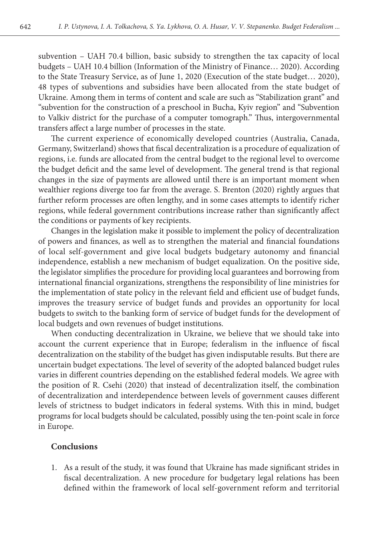subvention – UAH 70.4 billion, basic subsidy to strengthen the tax capacity of local budgets – UAH 10.4 billion (Information of the Ministry of Finance… 2020). According to the State Treasury Service, as of June 1, 2020 (Execution of the state budget… 2020), 48 types of subventions and subsidies have been allocated from the state budget of Ukraine. Among them in terms of content and scale are such as "Stabilization grant" and "subvention for the construction of a preschool in Bucha, Kyiv region" and "Subvention to Valkiv district for the purchase of a computer tomograph." Thus, intergovernmental transfers affect a large number of processes in the state.

The current experience of economically developed countries (Australia, Canada, Germany, Switzerland) shows that fiscal decentralization is a procedure of equalization of regions, i.e. funds are allocated from the central budget to the regional level to overcome the budget deficit and the same level of development. The general trend is that regional changes in the size of payments are allowed until there is an important moment when wealthier regions diverge too far from the average. S. Brenton (2020) rightly argues that further reform processes are often lengthy, and in some cases attempts to identify richer regions, while federal government contributions increase rather than significantly affect the conditions or payments of key recipients.

Changes in the legislation make it possible to implement the policy of decentralization of powers and finances, as well as to strengthen the material and financial foundations of local self-government and give local budgets budgetary autonomy and financial independence, establish a new mechanism of budget equalization. On the positive side, the legislator simplifies the procedure for providing local guarantees and borrowing from international financial organizations, strengthens the responsibility of line ministries for the implementation of state policy in the relevant field and efficient use of budget funds, improves the treasury service of budget funds and provides an opportunity for local budgets to switch to the banking form of service of budget funds for the development of local budgets and own revenues of budget institutions.

When conducting decentralization in Ukraine, we believe that we should take into account the current experience that in Europe; federalism in the influence of fiscal decentralization on the stability of the budget has given indisputable results. But there are uncertain budget expectations. The level of severity of the adopted balanced budget rules varies in different countries depending on the established federal models. We agree with the position of R. Csehi (2020) that instead of decentralization itself, the combination of decentralization and interdependence between levels of government causes different levels of strictness to budget indicators in federal systems. With this in mind, budget programs for local budgets should be calculated, possibly using the ten-point scale in force in Europe.

#### **Conclusions**

1. As a result of the study, it was found that Ukraine has made significant strides in fiscal decentralization. A new procedure for budgetary legal relations has been defined within the framework of local self-government reform and territorial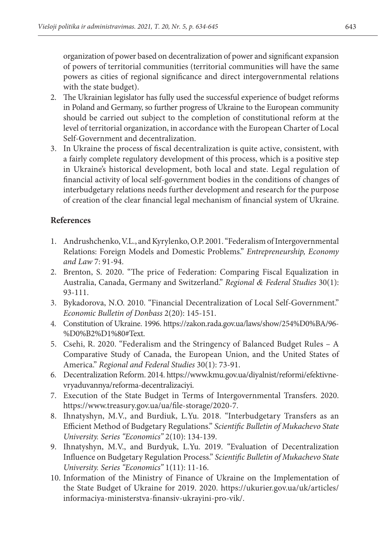organization of power based on decentralization of power and significant expansion of powers of territorial communities (territorial communities will have the same powers as cities of regional significance and direct intergovernmental relations with the state budget).

- 2. The Ukrainian legislator has fully used the successful experience of budget reforms in Poland and Germany, so further progress of Ukraine to the European community should be carried out subject to the completion of constitutional reform at the level of territorial organization, in accordance with the European Charter of Local Self-Government and decentralization.
- 3. In Ukraine the process of fiscal decentralization is quite active, consistent, with a fairly complete regulatory development of this process, which is a positive step in Ukraine's historical development, both local and state. Legal regulation of financial activity of local self-government bodies in the conditions of changes of interbudgetary relations needs further development and research for the purpose of creation of the clear financial legal mechanism of financial system of Ukraine.

## **References**

- 1. Andrushchenko, V.L., and Kyrylenko, O.P. 2001. "Federalism of Intergovernmental Relations: Foreign Models and Domestic Problems." *Entrepreneurship, Economy and Law* 7: 91-94.
- 2. Brenton, S. 2020. "The price of Federation: Comparing Fiscal Equalization in Australia, Canada, Germany and Switzerland." *Regional & Federal Studies* 30(1): 93-111.
- 3. Bykadorova, N.O. 2010. "Financial Decentralization of Local Self-Government." *Economic Bulletin of Donbass* 2(20): 145-151.
- 4. Constitution of Ukraine. 1996. https://zakon.rada.gov.ua/laws/show/254%D0%BA/96- %D0%B2%D1%80#Text.
- 5. Csehi, R. 2020. "Federalism and the Stringency of Balanced Budget Rules A Comparative Study of Сanada, the European Union, and the United States of America." *Regional and Federal Studies* 30(1): 73-91.
- 6. Decentralization Reform. 2014. https://www.kmu.gov.ua/diyalnist/reformi/efektivnevryaduvannya/reforma-decentralizaciyi.
- 7. Execution of the State Budget in Terms of Intergovernmental Transfers. 2020. https://www.treasury.gov.ua/ua/file-storage/2020-7.
- 8. Ihnatyshyn, M.V., and Burdiuk, L.Yu. 2018. "Interbudgetary Transfers as an Efficient Method of Budgetary Regulations." *Scientific Bulletin of Mukachevo State University. Series "Economics"* 2(10): 134-139.
- 9. Ihnatyshyn, M.V., and Burdyuk, L.Yu. 2019. "Evaluation of Decentralization Influence on Budgetary Regulation Process." *Scientific Bulletin of Mukachevo State University. Series "Economics"* 1(11): 11-16.
- 10. Information of the Ministry of Finance of Ukraine on the Implementation of the State Budget of Ukraine for 2019. 2020. https://ukurier.gov.ua/uk/articles/ informaciya-ministerstva-finansiv-ukrayini-pro-vik/.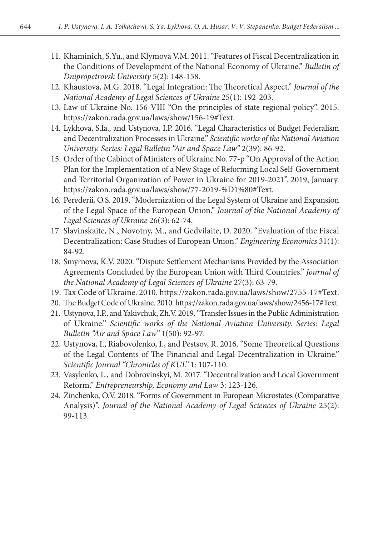- 11. Khaminich, S.Yu., and Klymova V.M. 2011. "Features of Fiscal Decentralization in the Conditions of Development of the National Economy of Ukraine." *Bulletin of Dnipropetrovsk University* 5(2): 148-158.
- 12. Khaustova, M.G. 2018. "Legal Integration: The Theoretical Aspect." *Journal of the National Academy of Legal Sciences of Ukraine* 25(1): 192-203.
- 13. Law of Ukraine No. 156-VIII "On the principles of state regional policy". 2015. https://zakon.rada.gov.ua/laws/show/156-19#Text.
- 14. Lykhova, S.Ia., and Ustynova, I.P. 2016. "Legal Characteristics of Budget Federalism and Decentralization Processes in Ukraine." *Scientific works of the National Aviation University. Series: Legal Bulletin "Air and Space Law"* 2(39): 86-92.
- 15. Order of the Cabinet of Ministers of Ukraine No. 77-р "On Approval of the Action Plan for the Implementation of a New Stage of Reforming Local Self-Government and Territorial Organization of Power in Ukraine for 2019-2021". 2019, January. https://zakon.rada.gov.ua/laws/show/77-2019-%D1%80#Text.
- 16. Perederii, O.S. 2019. "Modernization of the Legal System of Ukraine and Expansion of the Legal Space of the European Union." *Journal of the National Academy of Legal Sciences of Ukraine* 26(3): 62-74.
- 17. Slavinskaite, N., Novotny, M., and Gedvilaite, D. 2020. "Evaluation of the Fiscal Decentralization: Case Studies of European Union." *Engineering Economics* 31(1): 84-92.
- 18. Smyrnova, K.V. 2020. "Dispute Settlement Mechanisms Provided by the Association Agreements Concluded by the European Union with Third Countries." *Journal of the National Academy of Legal Sciences of Ukraine* 27(3): 63-79.
- 19. Tax Code of Ukraine. 2010. https://zakon.rada.gov.ua/laws/show/2755-17#Text.
- 20. The Budget Code of Ukraine. 2010. https://zakon.rada.gov.ua/laws/show/2456-17#Text.
- 21. Ustynova, I.P., and Yakivchuk, Zh.V. 2019. "Transfer Issues in the Public Administration of Ukraine." *Scientific works of the National Aviation University. Series: Legal Bulletin "Air and Space Law"* 1(50): 92-97.
- 22. Ustynova, І., Riabovolenko, І., and Pestsov, R. 2016. "Some Theoretical Questions of the Legal Contents of The Financial and Legal Decentralization in Ukraine." *Scientific Journal "Chronicles of KUL"* 1: 107-110.
- 23. Vasylenko, L., and Dobrovinskyi, M. 2017. "Decentralization and Local Government Reform." *Entrepreneurship, Economy and Law* 3: 123-126.
- 24. Zinchenko, O.V. 2018. "Forms of Government in European Microstates (Comparative Analysis)". *Journal of the National Academy of Legal Sciences of Ukraine* 25(2): 99-113.